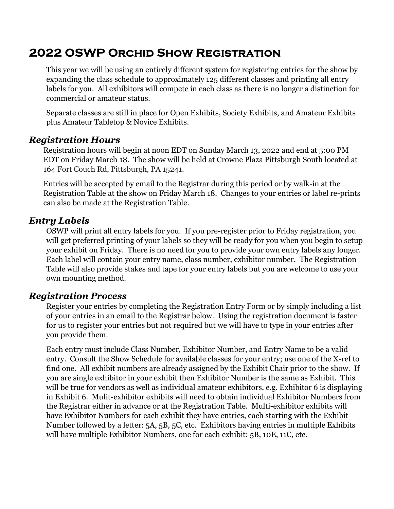# 2022 OSWP Orchid Show Registration

This year we will be using an entirely different system for registering entries for the show by expanding the class schedule to approximately 125 different classes and printing all entry labels for you. All exhibitors will compete in each class as there is no longer a distinction for commercial or amateur status.

Separate classes are still in place for Open Exhibits, Society Exhibits, and Amateur Exhibits plus Amateur Tabletop & Novice Exhibits.

#### Registration Hours

Registration hours will begin at noon EDT on Sunday March 13, 2022 and end at 5:00 PM EDT on Friday March 18. The show will be held at Crowne Plaza Pittsburgh South located at 164 Fort Couch Rd, Pittsburgh, PA 15241.

Entries will be accepted by email to the Registrar during this period or by walk-in at the Registration Table at the show on Friday March 18. Changes to your entries or label re-prints can also be made at the Registration Table.

## Entry Labels

OSWP will print all entry labels for you. If you pre-register prior to Friday registration, you will get preferred printing of your labels so they will be ready for you when you begin to setup your exhibit on Friday. There is no need for you to provide your own entry labels any longer. Each label will contain your entry name, class number, exhibitor number. The Registration Table will also provide stakes and tape for your entry labels but you are welcome to use your own mounting method.

## Registration Process

Register your entries by completing the Registration Entry Form or by simply including a list of your entries in an email to the Registrar below. Using the registration document is faster for us to register your entries but not required but we will have to type in your entries after you provide them.

Each entry must include Class Number, Exhibitor Number, and Entry Name to be a valid entry. Consult the Show Schedule for available classes for your entry; use one of the X-ref to find one. All exhibit numbers are already assigned by the Exhibit Chair prior to the show. If you are single exhibitor in your exhibit then Exhibitor Number is the same as Exhibit. This will be true for vendors as well as individual amateur exhibitors, e.g. Exhibitor 6 is displaying in Exhibit 6. Mulit-exhibitor exhibits will need to obtain individual Exhibitor Numbers from the Registrar either in advance or at the Registration Table. Multi-exhibitor exhibits will have Exhibitor Numbers for each exhibit they have entries, each starting with the Exhibit Number followed by a letter: 5A, 5B, 5C, etc. Exhibitors having entries in multiple Exhibits will have multiple Exhibitor Numbers, one for each exhibit: 5B, 10E, 11C, etc.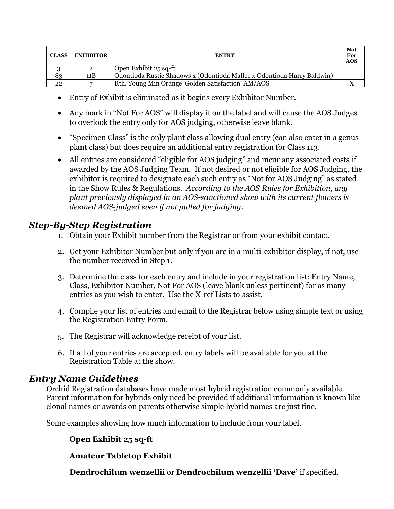| <b>CLASS</b> | <b>EXHIBITOR</b> | <b>ENTRY</b>                                                            | <b>Not</b><br>For<br><b>AOS</b> |
|--------------|------------------|-------------------------------------------------------------------------|---------------------------------|
|              | $\overline{2}$   | Open Exhibit 25 sq-ft                                                   |                                 |
| 83           | 11B              | Odontioda Rustic Shadows x (Odontioda Mallee x Odontioda Harry Baldwin) |                                 |
| 22           | −                | Rth. Young Min Orange 'Golden Satisfaction' AM/AOS                      |                                 |

- Entry of Exhibit is eliminated as it begins every Exhibitor Number.
- Any mark in "Not For AOS" will display it on the label and will cause the AOS Judges to overlook the entry only for AOS judging, otherwise leave blank.
- "Specimen Class" is the only plant class allowing dual entry (can also enter in a genus plant class) but does require an additional entry registration for Class 113.
- All entries are considered "eligible for AOS judging" and incur any associated costs if awarded by the AOS Judging Team. If not desired or not eligible for AOS Judging, the exhibitor is required to designate each such entry as "Not for AOS Judging" as stated in the Show Rules & Regulations. According to the AOS Rules for Exhibition, any plant previously displayed in an AOS-sanctioned show with its current flowers is deemed AOS-judged even if not pulled for judging.

# Step-By-Step Registration

- 1. Obtain your Exhibit number from the Registrar or from your exhibit contact.
- 2. Get your Exhibitor Number but only if you are in a multi-exhibitor display, if not, use the number received in Step 1.
- 3. Determine the class for each entry and include in your registration list: Entry Name, Class, Exhibitor Number, Not For AOS (leave blank unless pertinent) for as many entries as you wish to enter. Use the X-ref Lists to assist.
- 4. Compile your list of entries and email to the Registrar below using simple text or using the Registration Entry Form.
- 5. The Registrar will acknowledge receipt of your list.
- 6. If all of your entries are accepted, entry labels will be available for you at the Registration Table at the show.

## Entry Name Guidelines

Orchid Registration databases have made most hybrid registration commonly available. Parent information for hybrids only need be provided if additional information is known like clonal names or awards on parents otherwise simple hybrid names are just fine.

Some examples showing how much information to include from your label.

## Open Exhibit 25 sq-ft

Amateur Tabletop Exhibit

Dendrochilum wenzellii or Dendrochilum wenzellii 'Dave' if specified.